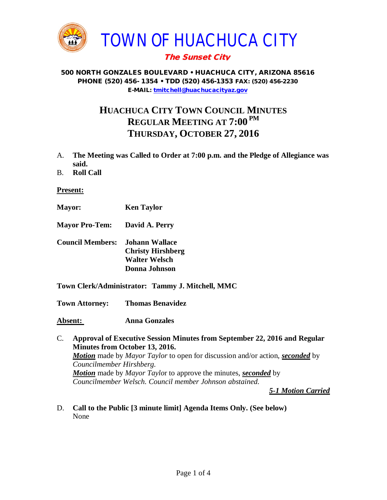

# The Sunset City

### 500 NORTH GONZALES BOULEVARD • HUACHUCA CITY, ARIZONA 85616 PHONE (520) 456- 1354 • TDD (520) 456-1353 FAX: (520) 456-2230 E-MAIL: [tmitchell@huachucacityaz.gov](mailto:tmitchell@huachucacityaz.gov)

# **HUACHUCA CITY TOWN COUNCIL MINUTES REGULAR MEETING AT 7:00 PM THURSDAY, OCTOBER 27, 2016**

- A. **The Meeting was Called to Order at 7:00 p.m. and the Pledge of Allegiance was said.**
- B. **Roll Call**

#### **Present:**

- **Mayor: Ken Taylor**
- **Mayor Pro-Tem: David A. Perry**
- **Council Members: Johann Wallace Christy Hirshberg Walter Welsch Donna Johnson**
- **Town Clerk/Administrator: Tammy J. Mitchell, MMC**

**Town Attorney: Thomas Benavidez**

**Absent: Anna Gonzales**

C. **Approval of Executive Session Minutes from September 22, 2016 and Regular Minutes from October 13, 2016.** *Motion* made by *Mayor Taylor* to open for discussion and/or action, *seconded* by *Councilmember Hirshberg. Motion* made by *Mayor Taylo*r to approve the minutes, *seconded* by *Councilmember Welsch. Council member Johnson abstained.* 

*5-1 Motion Carried*

D. **Call to the Public [3 minute limit] Agenda Items Only. (See below)** None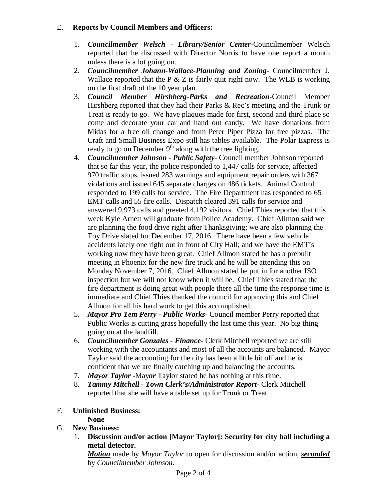## E. **Reports by Council Members and Officers:**

- 1. *Councilmember Welsch - Library/Senior Center***-**Councilmember Welsch reported that he discussed with Director Norris to have one report a month unless there is a lot going on.
- 2. *Councilmember Johann-Wallace-Planning and Zoning***-** Councilmember J. Wallace reported that the P  $\&Z$  is fairly quit right now. The WLB is working on the first draft of the 10 year plan.
- 3. *Council Member Hirshberg-Parks and Recreation***-**Council Member Hirshberg reported that they had their Parks & Rec's meeting and the Trunk or Treat is ready to go. We have plaques made for first, second and third place so come and decorate your car and hand out candy. We have donations from Midas for a free oil change and from Peter Piper Pizza for free pizzas. The Craft and Small Business Expo still has tables available. The Polar Express is ready to go on December  $9<sup>th</sup>$  along with the tree lighting.
- 4. *Councilmember Johnson - Public Safety-* Council member Johnson reported that so far this year, the police responded to 1,447 calls for service, affected 970 traffic stops, issued 283 warnings and equipment repair orders with 367 violations and issued 645 separate charges on 486 tickets. Animal Control responded to 199 calls for service. The Fire Department has responded to 65 EMT calls and 55 fire calls. Dispatch cleared 391 calls for service and answered 9,973 calls and greeted 4,192 visitors. Chief Thies reported that this week Kyle Arnett will graduate from Police Academy. Chief Allmon said we are planning the food drive right after Thanksgiving; we are also planning the Toy Drive slated for December 17, 2016. There have been a few vehicle accidents lately one right out in front of City Hall; and we have the EMT's working now they have been great. Chief Allmon stated he has a prebuilt meeting in Phoenix for the new fire truck and he will be attending this on Monday November 7, 2016. Chief Allmon stated he put in for another ISO inspection but we will not know when it will be. Chief Thies stated that the fire department is doing great with people there all the time the response time is immediate and Chief Thies thanked the council for approving this and Chief Allmon for all his hard work to get this accomplished.
- 5. *Mayor Pro Tem Perry - Public Works-* Council member Perry reported that Public Works is cutting grass hopefully the last time this year. No big thing going on at the landfill.
- 6. *Councilmember Gonzales - Finance-* Clerk Mitchell reported we are still working with the accountants and most of all the accounts are balanced. Mayor Taylor said the accounting for the city has been a little bit off and he is confident that we are finally catching up and balancing the accounts.
- 7. *Mayor Taylor -*May*or* Taylor stated he has nothing at this time.
- 8. *Tammy Mitchell - Town Clerk's/Administrator Report-* Clerk Mitchell reported that she will have a table set up for Trunk or Treat.
- F. **Unfinished Business:**

**None**

- G. **New Business:** 
	- 1. **Discussion and/or action [Mayor Taylor]: Security for city hall including a metal detector.**

*Motion* made by *Mayor Taylor* to open for discussion and/or action, *seconded* by *Councilmember Johnson.*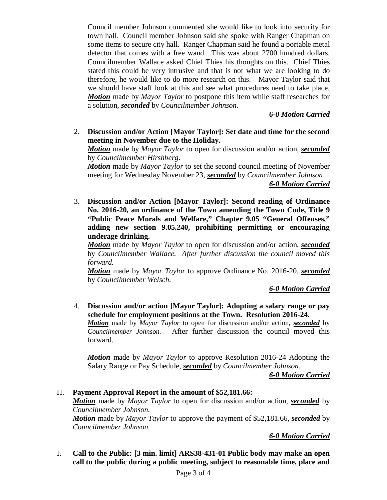Council member Johnson commented she would like to look into security for town hall. Council member Johnson said she spoke with Ranger Chapman on some items to secure city hall. Ranger Chapman said he found a portable metal detector that comes with a free wand. This was about 2700 hundred dollars. Councilmember Wallace asked Chief Thies his thoughts on this. Chief Thies stated this could be very intrusive and that is not what we are looking to do therefore, he would like to do more research on this. Mayor Taylor said that we should have staff look at this and see what procedures need to take place. *Motion* made by *Mayor Taylor* to postpone this item while staff researches for a solution, *seconded* by *Councilmember Johnson.*

## *6-0 Motion Carried*

2. **Discussion and/or Action [Mayor Taylor]: Set date and time for the second meeting in November due to the Holiday.** 

*Motion* made by *Mayor Taylor* to open for discussion and/or action, *seconded* by *Councilmember Hirshberg*.

*Motion* made by *Mayor Taylor* to set the second council meeting of November meeting for Wednesday November 23, *seconded* by *Councilmember Johnson*

*6-0 Motion Carried*

3. **Discussion and/or Action [Mayor Taylor]: Second reading of Ordinance No. 2016-20, an ordinance of the Town amending the Town Code, Title 9 "Public Peace Morals and Welfare," Chapter 9.05 "General Offenses," adding new section 9.05.240, prohibiting permitting or encouraging underage drinking.** 

*Motion* made by *Mayor Taylor* to open for discussion and/or action, *seconded* by *Councilmember Wallace. After further discussion the council moved this forward.*

*Motion* made by *Mayor Taylor* to approve Ordinance No. 2016-20, *seconded* by *Councilmember Welsch.*

*6-0 Motion Carried*

4. **Discussion and/or action [Mayor Taylor]: Adopting a salary range or pay schedule for employment positions at the Town. Resolution 2016-24.**

*Motion* made by *Mayor Taylor* to open for discussion and/or action, *seconded* by *Councilmember Johnson.* After further discussion the council moved this forward.

*Motion* made by *Mayor Taylor* to approve Resolution 2016-24 Adopting the Salary Range or Pay Schedule, *seconded* by *Councilmember Johnson.*

*6-0 Motion Carried*

H. **Payment Approval Report in the amount of \$52,181.66:** *Motion* made by *Mayor Taylor* to open for discussion and/or action, *seconded* by *Councilmember Johnson. Motion* made by *Mayor Taylor* to approve the payment of \$52,181.66, *seconded* by *Councilmember Johnson.*

#### *6-0 Motion Carried*

I. **Call to the Public: [3 min. limit] ARS38-431-01 Public body may make an open call to the public during a public meeting, subject to reasonable time, place and**